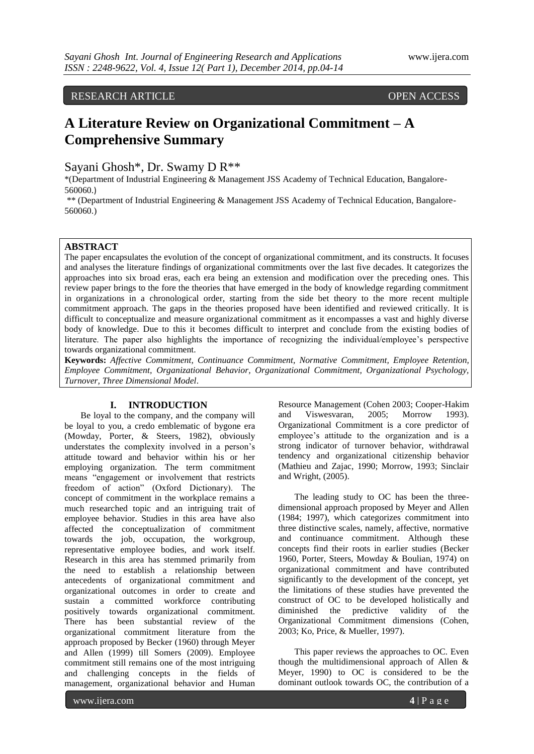# RESEARCH ARTICLE OPEN ACCESS

# **A Literature Review on Organizational Commitment – A Comprehensive Summary**

Sayani Ghosh\*, Dr. Swamy D R\*\*

\*(Department of Industrial Engineering & Management JSS Academy of Technical Education, Bangalore-560060.)

\*\* (Department of Industrial Engineering & Management JSS Academy of Technical Education, Bangalore-560060.)

### **ABSTRACT**

The paper encapsulates the evolution of the concept of organizational commitment, and its constructs. It focuses and analyses the literature findings of organizational commitments over the last five decades. It categorizes the approaches into six broad eras, each era being an extension and modification over the preceding ones. This review paper brings to the fore the theories that have emerged in the body of knowledge regarding commitment in organizations in a chronological order, starting from the side bet theory to the more recent multiple commitment approach. The gaps in the theories proposed have been identified and reviewed critically. It is difficult to conceptualize and measure organizational commitment as it encompasses a vast and highly diverse body of knowledge. Due to this it becomes difficult to interpret and conclude from the existing bodies of literature. The paper also highlights the importance of recognizing the individual/employee's perspective towards organizational commitment.

**Keywords:** *Affective Commitment, Continuance Commitment, Normative Commitment, Employee Retention, Employee Commitment, Organizational Behavior, Organizational Commitment, Organizational Psychology, Turnover, Three Dimensional Model*.

## **I. INTRODUCTION**

Be loyal to the company, and the company will be loyal to you, a credo emblematic of bygone era (Mowday, Porter, & Steers, 1982), obviously understates the complexity involved in a person"s attitude toward and behavior within his or her employing organization. The term commitment means "engagement or involvement that restricts freedom of action" (Oxford Dictionary). The concept of commitment in the workplace remains a much researched topic and an intriguing trait of employee behavior. Studies in this area have also affected the conceptualization of commitment towards the job, occupation, the workgroup, representative employee bodies, and work itself. Research in this area has stemmed primarily from the need to establish a relationship between antecedents of organizational commitment and organizational outcomes in order to create and sustain a committed workforce contributing positively towards organizational commitment. There has been substantial review of the organizational commitment literature from the approach proposed by Becker (1960) through Meyer and Allen (1999) till Somers (2009). Employee commitment still remains one of the most intriguing and challenging concepts in the fields of management, organizational behavior and Human

Resource Management (Cohen 2003; Cooper-Hakim and Viswesvaran, 2005; Morrow 1993). Organizational Commitment is a core predictor of employee's attitude to the organization and is a strong indicator of turnover behavior, withdrawal tendency and organizational citizenship behavior (Mathieu and Zajac, 1990; Morrow, 1993; Sinclair and Wright, (2005).

The leading study to OC has been the threedimensional approach proposed by Meyer and Allen (1984; 1997), which categorizes commitment into three distinctive scales, namely, affective, normative and continuance commitment. Although these concepts find their roots in earlier studies (Becker 1960, Porter, Steers, Mowday & Boulian, 1974) on organizational commitment and have contributed significantly to the development of the concept, yet the limitations of these studies have prevented the construct of OC to be developed holistically and diminished the predictive validity of the Organizational Commitment dimensions (Cohen, 2003; Ko, Price, & Mueller, 1997).

This paper reviews the approaches to OC. Even though the multidimensional approach of Allen & Meyer, 1990) to OC is considered to be the dominant outlook towards OC, the contribution of a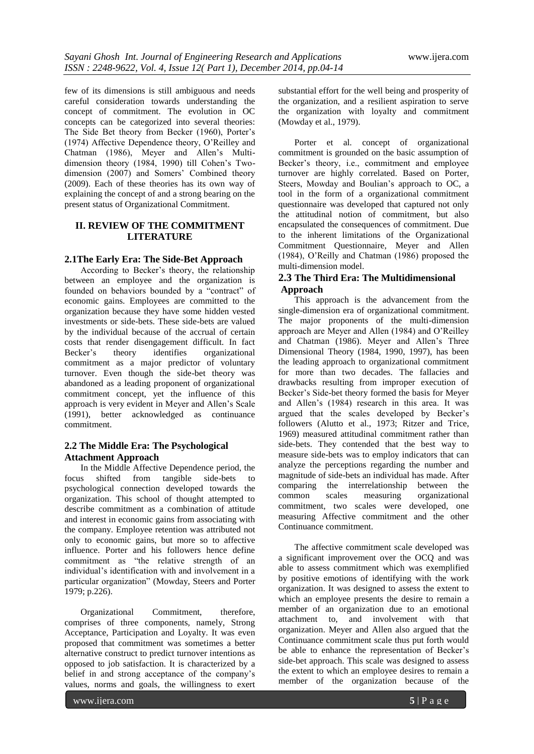few of its dimensions is still ambiguous and needs careful consideration towards understanding the concept of commitment. The evolution in OC concepts can be categorized into several theories: The Side Bet theory from Becker (1960), Porter's (1974) Affective Dependence theory, O"Reilley and Chatman (1986), Meyer and Allen"s Multidimension theory (1984, 1990) till Cohen"s Twodimension (2007) and Somers' Combined theory (2009). Each of these theories has its own way of explaining the concept of and a strong bearing on the present status of Organizational Commitment.

# **II. REVIEW OF THE COMMITMENT LITERATURE**

## **2.1The Early Era: The Side-Bet Approach**

According to Becker"s theory, the relationship between an employee and the organization is founded on behaviors bounded by a "contract" of economic gains. Employees are committed to the organization because they have some hidden vested investments or side-bets. These side-bets are valued by the individual because of the accrual of certain costs that render disengagement difficult. In fact Becker's theory identifies organizational commitment as a major predictor of voluntary turnover. Even though the side-bet theory was abandoned as a leading proponent of organizational commitment concept, yet the influence of this approach is very evident in Meyer and Allen"s Scale (1991), better acknowledged as continuance commitment.

# **2.2 The Middle Era: The Psychological Attachment Approach**

In the Middle Affective Dependence period, the focus shifted from tangible side-bets to psychological connection developed towards the organization. This school of thought attempted to describe commitment as a combination of attitude and interest in economic gains from associating with the company. Employee retention was attributed not only to economic gains, but more so to affective influence. Porter and his followers hence define commitment as "the relative strength of an individual"s identification with and involvement in a particular organization" (Mowday, Steers and Porter 1979; p.226).

Organizational Commitment, therefore, comprises of three components, namely, Strong Acceptance, Participation and Loyalty. It was even proposed that commitment was sometimes a better alternative construct to predict turnover intentions as opposed to job satisfaction. It is characterized by a belief in and strong acceptance of the company"s values, norms and goals, the willingness to exert

substantial effort for the well being and prosperity of the organization, and a resilient aspiration to serve the organization with loyalty and commitment (Mowday et al., 1979).

Porter et al. concept of organizational commitment is grounded on the basic assumption of Becker's theory, i.e., commitment and employee turnover are highly correlated. Based on Porter, Steers, Mowday and Boulian"s approach to OC, a tool in the form of a organizational commitment questionnaire was developed that captured not only the attitudinal notion of commitment, but also encapsulated the consequences of commitment. Due to the inherent limitations of the Organizational Commitment Questionnaire, Meyer and Allen (1984), O"Reilly and Chatman (1986) proposed the multi-dimension model.

# **2.3 The Third Era: The Multidimensional Approach**

This approach is the advancement from the single-dimension era of organizational commitment. The major proponents of the multi-dimension approach are Meyer and Allen (1984) and O"Reilley and Chatman (1986). Meyer and Allen"s Three Dimensional Theory (1984, 1990, 1997), has been the leading approach to organizational commitment for more than two decades. The fallacies and drawbacks resulting from improper execution of Becker"s Side-bet theory formed the basis for Meyer and Allen"s (1984) research in this area. It was argued that the scales developed by Becker"s followers (Alutto et al., 1973; Ritzer and Trice, 1969) measured attitudinal commitment rather than side-bets. They contended that the best way to measure side-bets was to employ indicators that can analyze the perceptions regarding the number and magnitude of side-bets an individual has made. After comparing the interrelationship between the common scales measuring organizational commitment, two scales were developed, one measuring Affective commitment and the other Continuance commitment.

The affective commitment scale developed was a significant improvement over the OCQ and was able to assess commitment which was exemplified by positive emotions of identifying with the work organization. It was designed to assess the extent to which an employee presents the desire to remain a member of an organization due to an emotional attachment to, and involvement with that organization. Meyer and Allen also argued that the Continuance commitment scale thus put forth would be able to enhance the representation of Becker's side-bet approach. This scale was designed to assess the extent to which an employee desires to remain a member of the organization because of the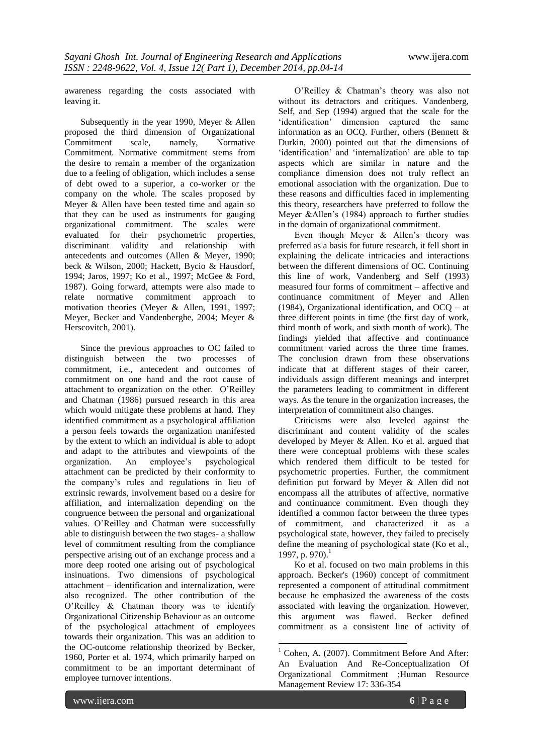awareness regarding the costs associated with leaving it.

Subsequently in the year 1990, Meyer & Allen proposed the third dimension of Organizational<br>Commitment scale, namely, Normative  $Commitment$ Commitment. Normative commitment stems from the desire to remain a member of the organization due to a feeling of obligation, which includes a sense of debt owed to a superior, a co-worker or the company on the whole. The scales proposed by Meyer & Allen have been tested time and again so that they can be used as instruments for gauging organizational commitment. The scales were evaluated for their psychometric properties, discriminant validity and relationship with antecedents and outcomes (Allen & Meyer, 1990; beck & Wilson, 2000; Hackett, Bycio & Hausdorf, 1994; Jaros, 1997; Ko et al., 1997; McGee & Ford, 1987). Going forward, attempts were also made to relate normative commitment approach to motivation theories (Meyer & Allen, 1991, 1997; Meyer, Becker and Vandenberghe, 2004; Meyer & Herscovitch, 2001).

Since the previous approaches to OC failed to distinguish between the two processes of commitment, i.e., antecedent and outcomes of commitment on one hand and the root cause of attachment to organization on the other. O"Reilley and Chatman (1986) pursued research in this area which would mitigate these problems at hand. They identified commitment as a psychological affiliation a person feels towards the organization manifested by the extent to which an individual is able to adopt and adapt to the attributes and viewpoints of the organization. An employee"s psychological attachment can be predicted by their conformity to the company"s rules and regulations in lieu of extrinsic rewards, involvement based on a desire for affiliation, and internalization depending on the congruence between the personal and organizational values. O"Reilley and Chatman were successfully able to distinguish between the two stages- a shallow level of commitment resulting from the compliance perspective arising out of an exchange process and a more deep rooted one arising out of psychological insinuations. Two dimensions of psychological attachment – identification and internalization, were also recognized. The other contribution of the O"Reilley & Chatman theory was to identify Organizational Citizenship Behaviour as an outcome of the psychological attachment of employees towards their organization. This was an addition to the OC-outcome relationship theorized by Becker, 1960, Porter et al. 1974, which primarily harped on commitment to be an important determinant of employee turnover intentions.

O"Reilley & Chatman"s theory was also not without its detractors and critiques. Vandenberg, Self, and Sep (1994) argued that the scale for the 'identification' dimension captured the same information as an OCQ. Further, others (Bennett & Durkin, 2000) pointed out that the dimensions of 'identification' and 'internalization' are able to tap aspects which are similar in nature and the compliance dimension does not truly reflect an emotional association with the organization. Due to these reasons and difficulties faced in implementing this theory, researchers have preferred to follow the Meyer &Allen's (1984) approach to further studies in the domain of organizational commitment.

Even though Meyer & Allen's theory was preferred as a basis for future research, it fell short in explaining the delicate intricacies and interactions between the different dimensions of OC. Continuing this line of work, Vandenberg and Self (1993) measured four forms of commitment – affective and continuance commitment of Meyer and Allen (1984), Organizational identification, and OCQ – at three different points in time (the first day of work, third month of work, and sixth month of work). The findings yielded that affective and continuance commitment varied across the three time frames. The conclusion drawn from these observations indicate that at different stages of their career, individuals assign different meanings and interpret the parameters leading to commitment in different ways. As the tenure in the organization increases, the interpretation of commitment also changes.

Criticisms were also leveled against the discriminant and content validity of the scales developed by Meyer & Allen. Ko et al. argued that there were conceptual problems with these scales which rendered them difficult to be tested for psychometric properties. Further, the commitment definition put forward by Meyer & Allen did not encompass all the attributes of affective, normative and continuance commitment. Even though they identified a common factor between the three types of commitment, and characterized it as a psychological state, however, they failed to precisely define the meaning of psychological state (Ko et al., 1997, p. 970). $^1$ 

Ko et al. focused on two main problems in this approach. Becker's (1960) concept of commitment represented a component of attitudinal commitment because he emphasized the awareness of the costs associated with leaving the organization. However, this argument was flawed. Becker defined commitment as a consistent line of activity of

**.** 

 $1$  Cohen, A. (2007). Commitment Before And After: An Evaluation And Re-Conceptualization Of Organizational Commitment ;Human Resource Management Review 17: 336-354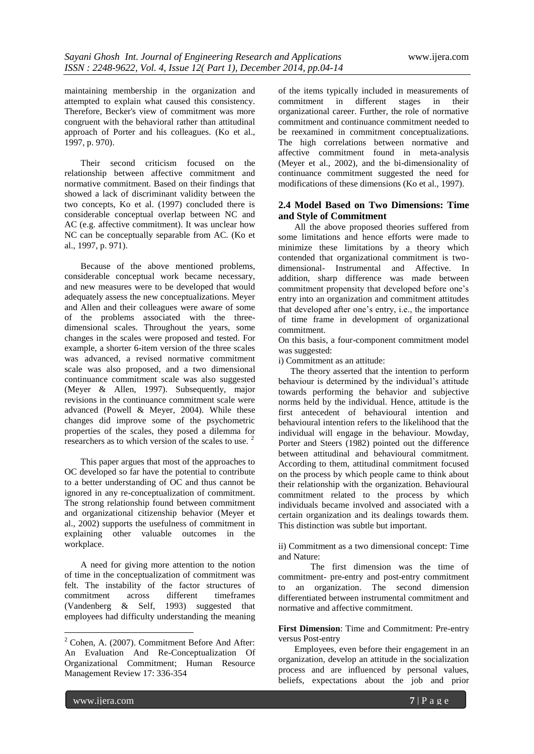maintaining membership in the organization and attempted to explain what caused this consistency. Therefore, Becker's view of commitment was more congruent with the behavioral rather than attitudinal approach of Porter and his colleagues. (Ko et al., 1997, p. 970).

Their second criticism focused on the relationship between affective commitment and normative commitment. Based on their findings that showed a lack of discriminant validity between the two concepts, Ko et al. (1997) concluded there is considerable conceptual overlap between NC and AC (e.g. affective commitment). It was unclear how NC can be conceptually separable from AC. (Ko et al., 1997, p. 971).

Because of the above mentioned problems, considerable conceptual work became necessary, and new measures were to be developed that would adequately assess the new conceptualizations. Meyer and Allen and their colleagues were aware of some of the problems associated with the threedimensional scales. Throughout the years, some changes in the scales were proposed and tested. For example, a shorter 6-item version of the three scales was advanced, a revised normative commitment scale was also proposed, and a two dimensional continuance commitment scale was also suggested (Meyer & Allen, 1997). Subsequently, major revisions in the continuance commitment scale were advanced (Powell & Meyer, 2004). While these changes did improve some of the psychometric properties of the scales, they posed a dilemma for researchers as to which version of the scales to use.

This paper argues that most of the approaches to OC developed so far have the potential to contribute to a better understanding of OC and thus cannot be ignored in any re-conceptualization of commitment. The strong relationship found between commitment and organizational citizenship behavior (Meyer et al., 2002) supports the usefulness of commitment in explaining other valuable outcomes in the workplace.

A need for giving more attention to the notion of time in the conceptualization of commitment was felt. The instability of the factor structures of commitment across different timeframes (Vandenberg & Self, 1993) suggested that employees had difficulty understanding the meaning

of the items typically included in measurements of commitment in different stages in their organizational career. Further, the role of normative commitment and continuance commitment needed to be reexamined in commitment conceptualizations. The high correlations between normative and affective commitment found in meta-analysis (Meyer et al., 2002), and the bi-dimensionality of continuance commitment suggested the need for modifications of these dimensions (Ko et al., 1997).

# **2.4 Model Based on Two Dimensions: Time and Style of Commitment**

All the above proposed theories suffered from some limitations and hence efforts were made to minimize these limitations by a theory which contended that organizational commitment is twodimensional- Instrumental and Affective. In addition, sharp difference was made between commitment propensity that developed before one"s entry into an organization and commitment attitudes that developed after one"s entry, i.e., the importance of time frame in development of organizational commitment.

On this basis, a four-component commitment model was suggested:

i) Commitment as an attitude:

The theory asserted that the intention to perform behaviour is determined by the individual's attitude towards performing the behavior and subjective norms held by the individual. Hence, attitude is the first antecedent of behavioural intention and behavioural intention refers to the likelihood that the individual will engage in the behaviour. Mowday, Porter and Steers (1982) pointed out the difference between attitudinal and behavioural commitment. According to them, attitudinal commitment focused on the process by which people came to think about their relationship with the organization. Behavioural commitment related to the process by which individuals became involved and associated with a certain organization and its dealings towards them. This distinction was subtle but important.

ii) Commitment as a two dimensional concept: Time and Nature:

The first dimension was the time of commitment- pre-entry and post-entry commitment to an organization. The second dimension differentiated between instrumental commitment and normative and affective commitment.

**First Dimension**: Time and Commitment: Pre-entry versus Post-entry

Employees, even before their engagement in an organization, develop an attitude in the socialization process and are influenced by personal values, beliefs, expectations about the job and prior

1

 $2^2$  Cohen, A. (2007). Commitment Before And After: An Evaluation And Re-Conceptualization Of Organizational Commitment; Human Resource Management Review 17: 336-354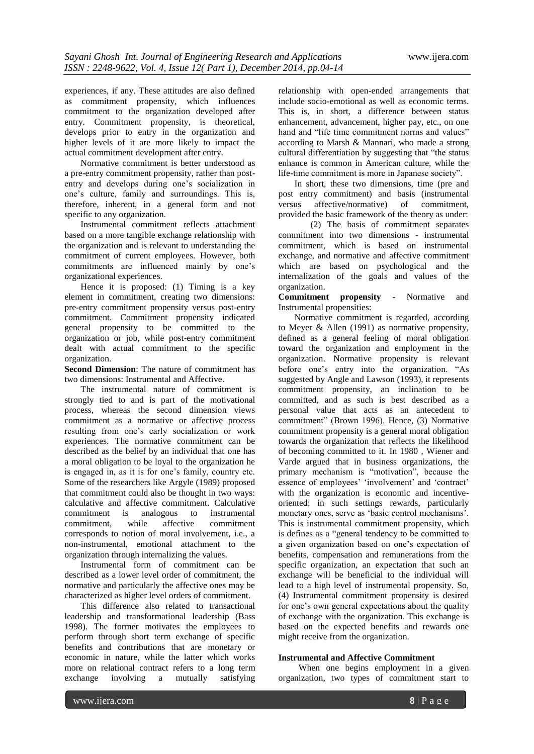experiences, if any. These attitudes are also defined as commitment propensity, which influences commitment to the organization developed after entry. Commitment propensity, is theoretical, develops prior to entry in the organization and higher levels of it are more likely to impact the actual commitment development after entry.

Normative commitment is better understood as a pre-entry commitment propensity, rather than postentry and develops during one"s socialization in one"s culture, family and surroundings. This is, therefore, inherent, in a general form and not specific to any organization.

Instrumental commitment reflects attachment based on a more tangible exchange relationship with the organization and is relevant to understanding the commitment of current employees. However, both commitments are influenced mainly by one"s organizational experiences.

Hence it is proposed: (1) Timing is a key element in commitment, creating two dimensions: pre-entry commitment propensity versus post-entry commitment. Commitment propensity indicated general propensity to be committed to the organization or job, while post-entry commitment dealt with actual commitment to the specific organization.

**Second Dimension**: The nature of commitment has two dimensions: Instrumental and Affective.

The instrumental nature of commitment is strongly tied to and is part of the motivational process, whereas the second dimension views commitment as a normative or affective process resulting from one"s early socialization or work experiences. The normative commitment can be described as the belief by an individual that one has a moral obligation to be loyal to the organization he is engaged in, as it is for one"s family, country etc. Some of the researchers like Argyle (1989) proposed that commitment could also be thought in two ways: calculative and affective commitment. Calculative commitment is analogous to instrumental commitment, while affective commitment corresponds to notion of moral involvement, i.e., a non-instrumental, emotional attachment to the organization through internalizing the values.

Instrumental form of commitment can be described as a lower level order of commitment, the normative and particularly the affective ones may be characterized as higher level orders of commitment.

This difference also related to transactional leadership and transformational leadership (Bass 1998). The former motivates the employees to perform through short term exchange of specific benefits and contributions that are monetary or economic in nature, while the latter which works more on relational contract refers to a long term exchange involving a mutually satisfying

relationship with open-ended arrangements that include socio-emotional as well as economic terms. This is, in short, a difference between status enhancement, advancement, higher pay, etc., on one hand and "life time commitment norms and values" according to Marsh & Mannari, who made a strong cultural differentiation by suggesting that "the status enhance is common in American culture, while the life-time commitment is more in Japanese society".

In short, these two dimensions, time (pre and post entry commitment) and basis (instrumental versus affective/normative) of commitment, provided the basic framework of the theory as under:

(2) The basis of commitment separates commitment into two dimensions - instrumental commitment, which is based on instrumental exchange, and normative and affective commitment which are based on psychological and the internalization of the goals and values of the organization.

#### **Commitment propensity** - Normative and Instrumental propensities:

Normative commitment is regarded, according to Meyer & Allen (1991) as normative propensity, defined as a general feeling of moral obligation toward the organization and employment in the organization. Normative propensity is relevant before one's entry into the organization. "As suggested by Angle and Lawson (1993), it represents commitment propensity, an inclination to be committed, and as such is best described as a personal value that acts as an antecedent to commitment" (Brown 1996). Hence, (3) Normative commitment propensity is a general moral obligation towards the organization that reflects the likelihood of becoming committed to it. In 1980 , Wiener and Varde argued that in business organizations, the primary mechanism is "motivation", because the essence of employees' 'involvement' and 'contract' with the organization is economic and incentiveoriented; in such settings rewards, particularly monetary ones, serve as "basic control mechanisms". This is instrumental commitment propensity, which is defines as a "general tendency to be committed to a given organization based on one"s expectation of benefits, compensation and remunerations from the specific organization, an expectation that such an exchange will be beneficial to the individual will lead to a high level of instrumental propensity. So, (4) Instrumental commitment propensity is desired for one's own general expectations about the quality of exchange with the organization. This exchange is based on the expected benefits and rewards one might receive from the organization.

#### **Instrumental and Affective Commitment**

When one begins employment in a given organization, two types of commitment start to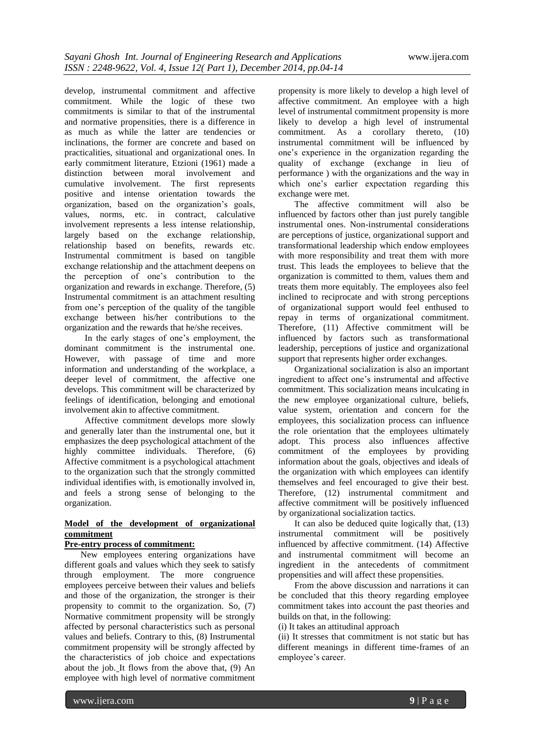develop, instrumental commitment and affective commitment. While the logic of these two commitments is similar to that of the instrumental and normative propensities, there is a difference in as much as while the latter are tendencies or inclinations, the former are concrete and based on practicalities, situational and organizational ones. In early commitment literature, Etzioni (1961) made a distinction between moral involvement and cumulative involvement. The first represents positive and intense orientation towards the organization, based on the organization"s goals, values, norms, etc. in contract, calculative involvement represents a less intense relationship, largely based on the exchange relationship, relationship based on benefits, rewards etc. Instrumental commitment is based on tangible exchange relationship and the attachment deepens on the perception of one"s contribution to the organization and rewards in exchange. Therefore, (5) Instrumental commitment is an attachment resulting from one"s perception of the quality of the tangible exchange between his/her contributions to the organization and the rewards that he/she receives.

In the early stages of one"s employment, the dominant commitment is the instrumental one. However, with passage of time and more information and understanding of the workplace, a deeper level of commitment, the affective one develops. This commitment will be characterized by feelings of identification, belonging and emotional involvement akin to affective commitment.

Affective commitment develops more slowly and generally later than the instrumental one, but it emphasizes the deep psychological attachment of the highly committee individuals. Therefore, (6) Affective commitment is a psychological attachment to the organization such that the strongly committed individual identifies with, is emotionally involved in, and feels a strong sense of belonging to the organization.

# **Model of the development of organizational commitment**

## **Pre-entry process of commitment:**

New employees entering organizations have different goals and values which they seek to satisfy through employment. The more congruence employees perceive between their values and beliefs and those of the organization, the stronger is their propensity to commit to the organization. So, (7) Normative commitment propensity will be strongly affected by personal characteristics such as personal values and beliefs. Contrary to this, (8) Instrumental commitment propensity will be strongly affected by the characteristics of job choice and expectations about the job. It flows from the above that, (9) An employee with high level of normative commitment

propensity is more likely to develop a high level of affective commitment. An employee with a high level of instrumental commitment propensity is more likely to develop a high level of instrumental commitment. As a corollary thereto, (10) instrumental commitment will be influenced by one"s experience in the organization regarding the quality of exchange (exchange in lieu of performance ) with the organizations and the way in which one's earlier expectation regarding this exchange were met.

The affective commitment will also be influenced by factors other than just purely tangible instrumental ones. Non-instrumental considerations are perceptions of justice, organizational support and transformational leadership which endow employees with more responsibility and treat them with more trust. This leads the employees to believe that the organization is committed to them, values them and treats them more equitably. The employees also feel inclined to reciprocate and with strong perceptions of organizational support would feel enthused to repay in terms of organizational commitment. Therefore, (11) Affective commitment will be influenced by factors such as transformational leadership, perceptions of justice and organizational support that represents higher order exchanges.

Organizational socialization is also an important ingredient to affect one"s instrumental and affective commitment. This socialization means inculcating in the new employee organizational culture, beliefs, value system, orientation and concern for the employees, this socialization process can influence the role orientation that the employees ultimately adopt. This process also influences affective commitment of the employees by providing information about the goals, objectives and ideals of the organization with which employees can identify themselves and feel encouraged to give their best. Therefore, (12) instrumental commitment and affective commitment will be positively influenced by organizational socialization tactics.

It can also be deduced quite logically that, (13) instrumental commitment will be positively influenced by affective commitment. (14) Affective and instrumental commitment will become an ingredient in the antecedents of commitment propensities and will affect these propensities.

From the above discussion and narrations it can be concluded that this theory regarding employee commitment takes into account the past theories and builds on that, in the following:

(i) It takes an attitudinal approach

(ii) It stresses that commitment is not static but has different meanings in different time-frames of an employee's career.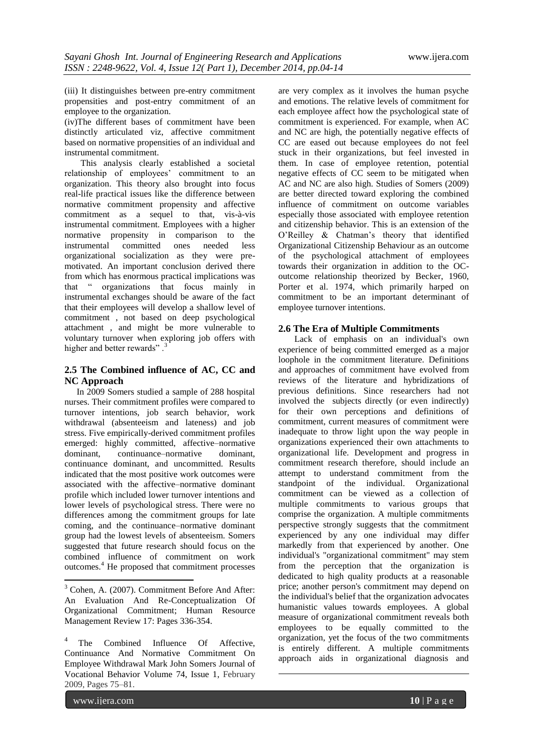(iii) It distinguishes between pre-entry commitment propensities and post-entry commitment of an employee to the organization.

(iv)The different bases of commitment have been distinctly articulated viz, affective commitment based on normative propensities of an individual and instrumental commitment.

This analysis clearly established a societal relationship of employees' commitment to an organization. This theory also brought into focus real-life practical issues like the difference between normative commitment propensity and affective commitment as a sequel to that, vis-à-vis instrumental commitment. Employees with a higher normative propensity in comparison to the instrumental committed ones needed less organizational socialization as they were premotivated. An important conclusion derived there from which has enormous practical implications was that " organizations that focus mainly in instrumental exchanges should be aware of the fact that their employees will develop a shallow level of commitment , not based on deep psychological attachment , and might be more vulnerable to voluntary turnover when exploring job offers with higher and better rewards".<sup>3</sup>

# **2.5 The Combined influence of AC, CC and NC Approach**

In 2009 Somers studied a sample of 288 hospital nurses. Their commitment profiles were compared to turnover intentions, job search behavior, work withdrawal (absenteeism and lateness) and job stress. Five empirically-derived commitment profiles emerged: highly committed, affective–normative dominant, continuance–normative dominant, continuance dominant, and uncommitted. Results indicated that the most positive work outcomes were associated with the affective–normative dominant profile which included lower turnover intentions and lower levels of psychological stress. There were no differences among the commitment groups for late coming, and the continuance–normative dominant group had the lowest levels of absenteeism. Somers suggested that future research should focus on the combined influence of commitment on work outcomes.<sup>4</sup> He proposed that commitment processes

<sup>3</sup> Cohen, A. (2007). Commitment Before And After: An Evaluation And Re-Conceptualization Of Organizational Commitment; Human Resource Management Review 17: Pages 336-354.

1

are very complex as it involves the human psyche and emotions. The relative levels of commitment for each employee affect how the psychological state of commitment is experienced. For example, when AC and NC are high, the potentially negative effects of CC are eased out because employees do not feel stuck in their organizations, but feel invested in them. In case of employee retention, potential negative effects of CC seem to be mitigated when AC and NC are also high. Studies of Somers (2009) are better directed toward exploring the combined influence of commitment on outcome variables especially those associated with employee retention and citizenship behavior. This is an extension of the O'Reilley & Chatman's theory that identified Organizational Citizenship Behaviour as an outcome of the psychological attachment of employees towards their organization in addition to the OCoutcome relationship theorized by Becker, 1960, Porter et al. 1974, which primarily harped on commitment to be an important determinant of employee turnover intentions.

# **2.6 The Era of Multiple Commitments**

Lack of emphasis on an individual's own experience of being committed emerged as a major loophole in the commitment literature. Definitions and approaches of commitment have evolved from reviews of the literature and hybridizations of previous definitions. Since researchers had not involved the subjects directly (or even indirectly) for their own perceptions and definitions of commitment, current measures of commitment were inadequate to throw light upon the way people in organizations experienced their own attachments to organizational life. Development and progress in commitment research therefore, should include an attempt to understand commitment from the standpoint of the individual. Organizational commitment can be viewed as a collection of multiple commitments to various groups that comprise the organization. A multiple commitments perspective strongly suggests that the commitment experienced by any one individual may differ markedly from that experienced by another. One individual's "organizational commitment" may stem from the perception that the organization is dedicated to high quality products at a reasonable price; another person's commitment may depend on the individual's belief that the organization advocates humanistic values towards employees. A global measure of organizational commitment reveals both employees to be equally committed to the organization, yet the focus of the two commitments is entirely different. A multiple commitments approach aids in organizational diagnosis and

1

<sup>4</sup> The Combined Influence Of Affective, Continuance And Normative Commitment On Employee Withdrawal [Mark John Somers](http://www.sciencedirect.com/science/article/pii/S0001879108000985) [Journal of](http://www.sciencedirect.com/science/journal/00018791)  [Vocational Behavior](http://www.sciencedirect.com/science/journal/00018791) [Volume 74, Issue 1,](http://www.sciencedirect.com/science/journal/00018791/74/1) February 2009, Pages 75–81.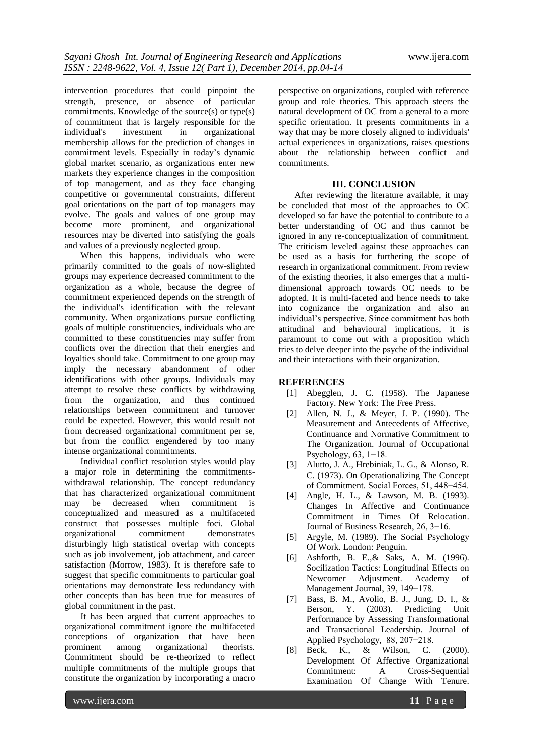intervention procedures that could pinpoint the strength, presence, or absence of particular commitments. Knowledge of the source(s) or type(s) of commitment that is largely responsible for the individual's investment in organizational membership allows for the prediction of changes in commitment levels. Especially in today"s dynamic global market scenario, as organizations enter new markets they experience changes in the composition of top management, and as they face changing competitive or governmental constraints, different goal orientations on the part of top managers may evolve. The goals and values of one group may become more prominent, and organizational resources may be diverted into satisfying the goals and values of a previously neglected group.

When this happens, individuals who were primarily committed to the goals of now-slighted groups may experience decreased commitment to the organization as a whole, because the degree of commitment experienced depends on the strength of the individual's identification with the relevant community. When organizations pursue conflicting goals of multiple constituencies, individuals who are committed to these constituencies may suffer from conflicts over the direction that their energies and loyalties should take. Commitment to one group may imply the necessary abandonment of other identifications with other groups. Individuals may attempt to resolve these conflicts by withdrawing from the organization, and thus continued relationships between commitment and turnover could be expected. However, this would result not from decreased organizational commitment per se, but from the conflict engendered by too many intense organizational commitments.

Individual conflict resolution styles would play a major role in determining the commitmentswithdrawal relationship. The concept redundancy that has characterized organizational commitment may be decreased when commitment is conceptualized and measured as a multifaceted construct that possesses multiple foci. Global organizational commitment demonstrates disturbingly high statistical overlap with concepts such as job involvement, job attachment, and career satisfaction (Morrow, 1983). It is therefore safe to suggest that specific commitments to particular goal orientations may demonstrate less redundancy with other concepts than has been true for measures of global commitment in the past.

It has been argued that current approaches to organizational commitment ignore the multifaceted conceptions of organization that have been prominent among organizational theorists. Commitment should be re-theorized to reflect multiple commitments of the multiple groups that constitute the organization by incorporating a macro

perspective on organizations, coupled with reference group and role theories. This approach steers the natural development of OC from a general to a more specific orientation. It presents commitments in a way that may be more closely aligned to individuals' actual experiences in organizations, raises questions about the relationship between conflict and commitments.

## **III. CONCLUSION**

After reviewing the literature available, it may be concluded that most of the approaches to OC developed so far have the potential to contribute to a better understanding of OC and thus cannot be ignored in any re-conceptualization of commitment. The criticism leveled against these approaches can be used as a basis for furthering the scope of research in organizational commitment. From review of the existing theories, it also emerges that a multidimensional approach towards OC needs to be adopted. It is multi-faceted and hence needs to take into cognizance the organization and also an individual"s perspective. Since commitment has both attitudinal and behavioural implications, it is paramount to come out with a proposition which tries to delve deeper into the psyche of the individual and their interactions with their organization.

## **REFERENCES**

- [1] Abegglen, J. C. (1958). The Japanese Factory. New York: The Free Press.
- [2] Allen, N. J., & Meyer, J. P. (1990). The Measurement and Antecedents of Affective, Continuance and Normative Commitment to The Organization. Journal of Occupational Psychology, 63, 1−18.
- [3] Alutto, J. A., Hrebiniak, L. G., & Alonso, R. C. (1973). On Operationalizing The Concept of Commitment. Social Forces, 51, 448−454.
- [4] Angle, H. L., & Lawson, M. B. (1993). Changes In Affective and Continuance Commitment in Times Of Relocation. Journal of Business Research, 26, 3−16.
- [5] Argyle, M. (1989). The Social Psychology Of Work. London: Penguin.
- [6] Ashforth, B. E.,& Saks, A. M. (1996). Socilization Tactics: Longitudinal Effects on Newcomer Adjustment. Academy of Management Journal, 39, 149−178.
- [7] Bass, B. M., Avolio, B. J., Jung, D. I., & Berson, Y. (2003). Predicting Unit Performance by Assessing Transformational and Transactional Leadership. Journal of Applied Psychology, 88, 207−218.
- [8] Beck, K., & Wilson, C. (2000). Development Of Affective Organizational Commitment: A Cross-Sequential Examination Of Change With Tenure.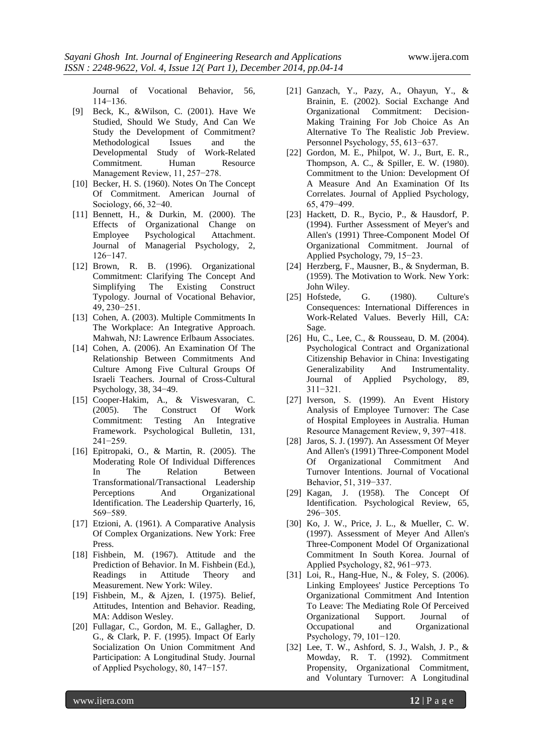Journal of Vocational Behavior, 56, 114−136.

- [9] Beck, K., &Wilson, C. (2001). Have We Studied, Should We Study, And Can We Study the Development of Commitment? Methodological Issues and the Developmental Study of Work-Related Commitment. Human Resource Management Review, 11, 257−278.
- [10] Becker, H. S. (1960). Notes On The Concept Of Commitment. American Journal of Sociology, 66, 32−40.
- [11] Bennett, H., & Durkin, M. (2000). The Effects of Organizational Change on Employee Psychological Attachment. Journal of Managerial Psychology, 2, 126−147.
- [12] Brown, R. B. (1996). Organizational Commitment: Clarifying The Concept And Simplifying The Existing Construct Typology. Journal of Vocational Behavior, 49, 230−251.
- [13] Cohen, A. (2003). Multiple Commitments In The Workplace: An Integrative Approach. Mahwah, NJ: Lawrence Erlbaum Associates.
- [14] Cohen, A. (2006). An Examination Of The Relationship Between Commitments And Culture Among Five Cultural Groups Of Israeli Teachers. Journal of Cross-Cultural Psychology, 38, 34−49.
- [15] Cooper-Hakim, A., & Viswesvaran, C. (2005). The Construct Of Work Commitment: Testing An Integrative Framework. Psychological Bulletin, 131, 241−259.
- [16] Epitropaki, O., & Martin, R. (2005). The Moderating Role Of Individual Differences In The Relation Between Transformational/Transactional Leadership Perceptions And Organizational Identification. The Leadership Quarterly, 16, 569−589.
- [17] Etzioni, A. (1961). A Comparative Analysis Of Complex Organizations. New York: Free Press.
- [18] Fishbein, M. (1967). Attitude and the Prediction of Behavior. In M. Fishbein (Ed.), Readings in Attitude Theory and Measurement. New York: Wiley.
- [19] Fishbein, M., & Ajzen, I. (1975). Belief, Attitudes, Intention and Behavior. Reading, MA: Addison Wesley.
- [20] Fullagar, C., Gordon, M. E., Gallagher, D. G., & Clark, P. F. (1995). Impact Of Early Socialization On Union Commitment And Participation: A Longitudinal Study. Journal of Applied Psychology, 80, 147−157.
- [21] Ganzach, Y., Pazy, A., Ohayun, Y., & Brainin, E. (2002). Social Exchange And Organizational Commitment: Decision-Making Training For Job Choice As An Alternative To The Realistic Job Preview. Personnel Psychology, 55, 613−637.
- [22] Gordon, M. E., Philpot, W. J., Burt, E. R., Thompson, A. C., & Spiller, E. W. (1980). Commitment to the Union: Development Of A Measure And An Examination Of Its Correlates. Journal of Applied Psychology, 65, 479−499.
- [23] Hackett, D. R., Bycio, P., & Hausdorf, P. (1994). Further Assessment of Meyer's and Allen's (1991) Three-Component Model Of Organizational Commitment. Journal of Applied Psychology, 79, 15−23.
- [24] Herzberg, F., Mausner, B., & Snyderman, B. (1959). The Motivation to Work. New York: John Wiley.
- [25] Hofstede, G. (1980). Culture's Consequences: International Differences in Work-Related Values. Beverly Hill, CA: Sage.
- [26] Hu, C., Lee, C., & Rousseau, D. M. (2004). Psychological Contract and Organizational Citizenship Behavior in China: Investigating Generalizability And Instrumentality. Journal of Applied Psychology, 89, 311−321.
- [27] Iverson, S. (1999). An Event History Analysis of Employee Turnover: The Case of Hospital Employees in Australia. Human Resource Management Review, 9, 397−418.
- [28] Jaros, S. J. (1997). An Assessment Of Meyer And Allen's (1991) Three-Component Model Of Organizational Commitment And Turnover Intentions. Journal of Vocational Behavior, 51, 319−337.
- [29] Kagan, J. (1958). The Concept Of Identification. Psychological Review, 65, 296−305.
- [30] Ko, J. W., Price, J. L., & Mueller, C. W. (1997). Assessment of Meyer And Allen's Three-Component Model Of Organizational Commitment In South Korea. Journal of Applied Psychology, 82, 961−973.
- [31] Loi, R., Hang-Hue, N., & Foley, S. (2006). Linking Employees' Justice Perceptions To Organizational Commitment And Intention To Leave: The Mediating Role Of Perceived Organizational Support. Journal of Occupational and Organizational Psychology, 79, 101−120.
- [32] Lee, T. W., Ashford, S. J., Walsh, J. P., & Mowday, R. T. (1992). Commitment Propensity, Organizational Commitment, and Voluntary Turnover: A Longitudinal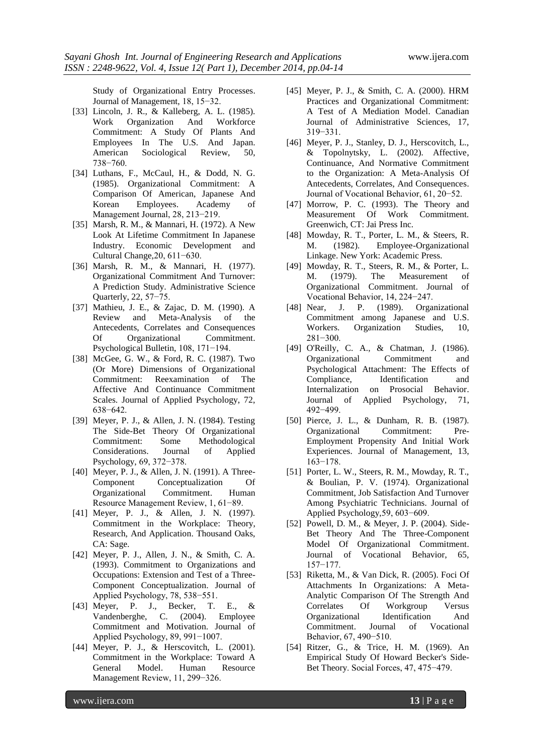Study of Organizational Entry Processes. Journal of Management, 18, 15−32.

- [33] Lincoln, J. R., & Kalleberg, A. L. (1985). Work Organization And Workforce Commitment: A Study Of Plants And Employees In The U.S. And Japan. American Sociological Review, 50, 738−760.
- [34] Luthans, F., McCaul, H., & Dodd, N. G. (1985). Organizational Commitment: A Comparison Of American, Japanese And Korean Employees. Academy of Management Journal, 28, 213−219.
- [35] Marsh, R. M., & Mannari, H. (1972). A New Look At Lifetime Commitment In Japanese Industry. Economic Development and Cultural Change,20, 611−630.
- [36] Marsh, R. M., & Mannari, H. (1977). Organizational Commitment And Turnover: A Prediction Study. Administrative Science Quarterly, 22, 57−75.
- [37] Mathieu, J. E., & Zajac, D. M. (1990). A Review and Meta-Analysis of the Antecedents, Correlates and Consequences Of Organizational Commitment. Psychological Bulletin, 108, 171−194.
- [38] McGee, G. W., & Ford, R. C. (1987). Two (Or More) Dimensions of Organizational Commitment: Reexamination of The Affective And Continuance Commitment Scales. Journal of Applied Psychology, 72, 638−642.
- [39] Meyer, P. J., & Allen, J. N. (1984). Testing The Side-Bet Theory Of Organizational Commitment: Some Methodological Considerations. Journal of Applied Psychology, 69, 372−378.
- [40] Meyer, P. J., & Allen, J. N. (1991). A Three-Component Conceptualization Of Organizational Commitment. Human Resource Management Review, 1, 61−89.
- [41] Meyer, P. J., & Allen, J. N. (1997). Commitment in the Workplace: Theory, Research, And Application. Thousand Oaks, CA: Sage.
- [42] Meyer, P. J., Allen, J. N., & Smith, C. A. (1993). Commitment to Organizations and Occupations: Extension and Test of a Three-Component Conceptualization. Journal of Applied Psychology, 78, 538−551.
- [43] Meyer, P. J., Becker, T. E., & Vandenberghe, C. (2004). Employee Commitment and Motivation. Journal of Applied Psychology, 89, 991−1007.
- [44] Meyer, P. J., & Herscovitch, L. (2001). Commitment in the Workplace: Toward A General Model. Human Resource Management Review, 11, 299−326.
- [45] Meyer, P. J., & Smith, C. A. (2000). HRM Practices and Organizational Commitment: A Test of A Mediation Model. Canadian Journal of Administrative Sciences, 17, 319−331.
- [46] Meyer, P. J., Stanley, D. J., Herscovitch, L., & Topolnytsky, L. (2002). Affective, Continuance, And Normative Commitment to the Organization: A Meta-Analysis Of Antecedents, Correlates, And Consequences. Journal of Vocational Behavior, 61, 20−52.
- [47] Morrow, P. C. (1993). The Theory and Measurement Of Work Commitment. Greenwich, CT: Jai Press Inc.
- [48] Mowday, R. T., Porter, L. M., & Steers, R. M. (1982). Employee-Organizational Linkage. New York: Academic Press.
- [49] Mowday, R. T., Steers, R. M., & Porter, L. M. (1979). The Measurement of Organizational Commitment. Journal of Vocational Behavior, 14, 224−247.
- [48] Near, J. P. (1989). Organizational Commitment among Japanese and U.S. Workers. Organization Studies, 10, 281−300.
- [49] O'Reilly, C. A., & Chatman, J. (1986). Organizational Commitment and Psychological Attachment: The Effects of Compliance, Identification and Internalization on Prosocial Behavior. Journal of Applied Psychology, 71, 492−499.
- [50] Pierce, J. L., & Dunham, R. B. (1987). Organizational Commitment: Pre-Employment Propensity And Initial Work Experiences. Journal of Management, 13, 163−178.
- [51] Porter, L. W., Steers, R. M., Mowday, R. T., & Boulian, P. V. (1974). Organizational Commitment, Job Satisfaction And Turnover Among Psychiatric Technicians. Journal of Applied Psychology,59, 603−609.
- [52] Powell, D. M., & Meyer, J. P. (2004). Side-Bet Theory And The Three-Component Model Of Organizational Commitment. Journal of Vocational Behavior, 65, 157−177.
- [53] Riketta, M., & Van Dick, R. (2005). Foci Of Attachments In Organizations: A Meta-Analytic Comparison Of The Strength And Correlates Of Workgroup Versus Organizational Identification And Commitment. Journal of Vocational Behavior, 67, 490−510.
- [54] Ritzer, G., & Trice, H. M. (1969). An Empirical Study Of Howard Becker's Side-Bet Theory. Social Forces, 47, 475−479.